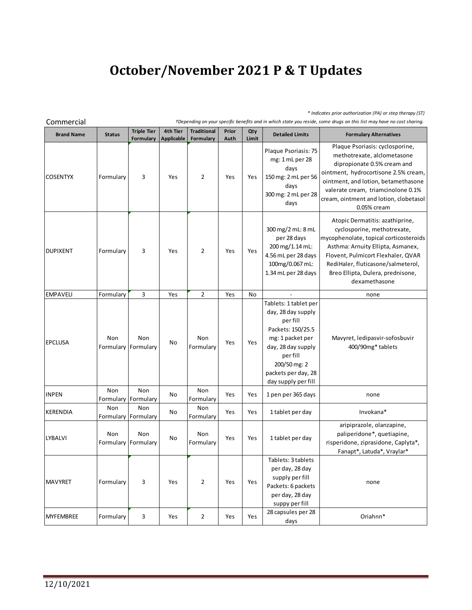## **October/November 2021 P & T Updates**

*\* Indicates prior authorization (PA) or step therapy (ST)*

| Commercial        | +Depending on your specific benefits and in which state you reside, some drugs on this list may have no cost sharing. |                                 |                               |                                 |               |              |                                                                                                                                                                                                  |                                                                                                                                                                                                                                                                                 |  |  |
|-------------------|-----------------------------------------------------------------------------------------------------------------------|---------------------------------|-------------------------------|---------------------------------|---------------|--------------|--------------------------------------------------------------------------------------------------------------------------------------------------------------------------------------------------|---------------------------------------------------------------------------------------------------------------------------------------------------------------------------------------------------------------------------------------------------------------------------------|--|--|
| <b>Brand Name</b> | <b>Status</b>                                                                                                         | <b>Triple Tier</b><br>Formulary | 4th Tier<br><b>Applicable</b> | <b>Traditional</b><br>Formulary | Prior<br>Auth | Qty<br>Limit | <b>Detailed Limits</b>                                                                                                                                                                           | <b>Formulary Alternatives</b>                                                                                                                                                                                                                                                   |  |  |
| <b>COSENTYX</b>   | Formulary                                                                                                             | 3                               | Yes                           | $\overline{2}$                  | Yes           | Yes          | Plaque Psoriasis: 75<br>mg: 1 mL per 28<br>days<br>150 mg: 2 mL per 56<br>days<br>300 mg: 2 mL per 28<br>days                                                                                    | Plaque Psoriasis: cyclosporine,<br>methotrexate, alclometasone<br>dipropionate 0.5% cream and<br>ointment, hydrocortisone 2.5% cream,<br>ointment, and lotion, betamethasone<br>valerate cream, triamcinolone 0.1%<br>cream, ointment and lotion, clobetasol<br>0.05% cream     |  |  |
| <b>DUPIXENT</b>   | Formulary                                                                                                             | 3                               | Yes                           | $\overline{2}$                  | Yes           | Yes          | 300 mg/2 mL: 8 mL<br>per 28 days<br>200 mg/1.14 mL:<br>4.56 mL per 28 days<br>100mg/0.067 mL:<br>1.34 mL per 28 days                                                                             | Atopic Dermatitis: azathiprine,<br>cyclosporine, methotrexate,<br>mycophenolate, topical corticosteroids<br>Asthma: Arnuity Ellipta, Asmanex,<br>Flovent, Pulmicort Flexhaler, QVAR<br>RediHaler, fluticasone/salmeterol,<br>Breo Ellipta, Dulera, prednisone,<br>dexamethasone |  |  |
| <b>EMPAVELI</b>   | Formulary                                                                                                             | 3                               | Yes                           | $\overline{2}$                  | Yes           | No           |                                                                                                                                                                                                  | none                                                                                                                                                                                                                                                                            |  |  |
| <b>EPCLUSA</b>    | Non<br>Formulary                                                                                                      | Non<br>Formulary                | No                            | Non<br>Formulary                | Yes           | Yes          | Tablets: 1 tablet per<br>day, 28 day supply<br>per fill<br>Packets: 150/25.5<br>mg: 1 packet per<br>day, 28 day supply<br>per fill<br>200/50 mg: 2<br>packets per day, 28<br>day supply per fill | Mavyret, ledipasvir-sofosbuvir<br>400/90mg* tablets                                                                                                                                                                                                                             |  |  |
| <b>INPEN</b>      | Non<br>Formulary Formulary                                                                                            | Non                             | No                            | Non<br>Formulary                | Yes           | Yes          | 1 pen per 365 days                                                                                                                                                                               | none                                                                                                                                                                                                                                                                            |  |  |
| KERENDIA          | Non                                                                                                                   | Non<br>Formulary Formulary      | No                            | Non<br>Formulary                | Yes           | Yes          | 1 tablet per day                                                                                                                                                                                 | Invokana*                                                                                                                                                                                                                                                                       |  |  |
| LYBALVI           | Non<br>Formulary                                                                                                      | Non<br>Formulary                | No                            | Non<br>Formulary                | Yes           | Yes          | 1 tablet per day                                                                                                                                                                                 | aripiprazole, olanzapine,<br>paliperidone*, quetiapine,<br>risperidone, ziprasidone, Caplyta*,<br>Fanapt*, Latuda*, Vraylar*                                                                                                                                                    |  |  |
| <b>MAVYRET</b>    | Formulary                                                                                                             | 3                               | Yes                           | 2                               | Yes           | Yes          | Tablets: 3 tablets<br>per day, 28 day<br>supply per fill<br>Packets: 6 packets<br>per day, 28 day<br>suppy per fill<br>28 capsules per 28                                                        | none                                                                                                                                                                                                                                                                            |  |  |
| <b>MYFEMBREE</b>  | Formulary                                                                                                             | 3                               | Yes                           | $\overline{2}$                  | Yes           | Yes          | days                                                                                                                                                                                             | Oriahnn*                                                                                                                                                                                                                                                                        |  |  |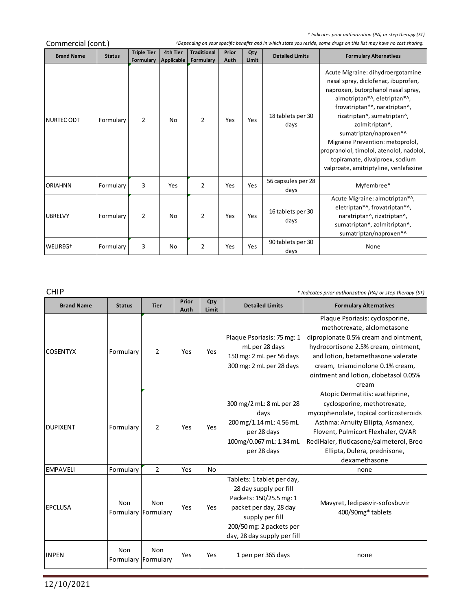*\* Indicates prior authorization (PA) or step therapy (ST)*

|                      | Commercial (cont.) |                                 |                        |                                 |               |              |                            | +Depending on your specific benefits and in which state you reside, some drugs on this list may have no cost sharing.                                                                                                                                                                                                                                                                                                 |
|----------------------|--------------------|---------------------------------|------------------------|---------------------------------|---------------|--------------|----------------------------|-----------------------------------------------------------------------------------------------------------------------------------------------------------------------------------------------------------------------------------------------------------------------------------------------------------------------------------------------------------------------------------------------------------------------|
| <b>Brand Name</b>    | <b>Status</b>      | <b>Triple Tier</b><br>Formulary | 4th Tier<br>Applicable | <b>Traditional</b><br>Formulary | Prior<br>Auth | Qty<br>Limit | <b>Detailed Limits</b>     | <b>Formulary Alternatives</b>                                                                                                                                                                                                                                                                                                                                                                                         |
| <b>NURTEC ODT</b>    | Formulary          | $\overline{2}$                  | No                     | $\overline{2}$                  | Yes           | Yes          | 18 tablets per 30<br>days  | Acute Migraine: dihydroergotamine<br>nasal spray, diclofenac, ibuprofen,<br>naproxen, butorphanol nasal spray,<br>almotriptan*^, eletriptan*^,<br>frovatriptan*^, naratriptan^,<br>rizatriptan^, sumatriptan^,<br>zolmitriptan^,<br>sumatriptan/naproxen*^<br>Migraine Prevention: metoprolol,<br>propranolol, timolol, atenolol, nadolol,<br>topiramate, divalproex, sodium<br>valproate, amitriptyline, venlafaxine |
| <b>ORIAHNN</b>       | Formulary          | 3                               | Yes                    | $\overline{2}$                  | Yes           | Yes          | 56 capsules per 28<br>days | Myfembree*                                                                                                                                                                                                                                                                                                                                                                                                            |
| <b>UBRELVY</b>       | Formulary          | $\overline{2}$                  | No                     | $\overline{2}$                  | Yes           | Yes          | 16 tablets per 30<br>days  | Acute Migraine: almotriptan*^,<br>eletriptan*^, frovatriptan*^,<br>naratriptan^, rizatriptan^,<br>sumatriptan^, zolmitriptan^,<br>sumatriptan/naproxen*^                                                                                                                                                                                                                                                              |
| WELIREG <sup>+</sup> | Formulary          | 3                               | No                     | 2                               | Yes           | Yes          | 90 tablets per 30<br>days  | None                                                                                                                                                                                                                                                                                                                                                                                                                  |

CHIP *\* Indicates prior authorization (PA) or step therapy (ST)*

and the control of the control of

| <b>Brand Name</b> | <b>Status</b> | <b>Tier</b>                       | Prior<br>Auth | Qty<br>Limit | <b>Detailed Limits</b>                                                                                                                                                                  | <b>Formulary Alternatives</b>                                                                                                                                                                                                                                                   |
|-------------------|---------------|-----------------------------------|---------------|--------------|-----------------------------------------------------------------------------------------------------------------------------------------------------------------------------------------|---------------------------------------------------------------------------------------------------------------------------------------------------------------------------------------------------------------------------------------------------------------------------------|
| <b>COSENTYX</b>   | Formulary     | 2                                 | Yes           | Yes          | Plaque Psoriasis: 75 mg: 1<br>mL per 28 days<br>150 mg: 2 mL per 56 days<br>300 mg: 2 mL per 28 days                                                                                    | Plaque Psoriasis: cyclosporine,<br>methotrexate, alclometasone<br>dipropionate 0.5% cream and ointment,<br>hydrocortisone 2.5% cream, ointment,<br>and lotion, betamethasone valerate<br>cream, triamcinolone 0.1% cream,<br>ointment and lotion, clobetasol 0.05%<br>cream     |
| <b>DUPIXENT</b>   | Formulary     | $\overline{2}$                    | Yes           | Yes          | 300 mg/2 mL: 8 mL per 28<br>days<br>200 mg/1.14 mL: 4.56 mL<br>per 28 days<br>100mg/0.067 mL: 1.34 mL<br>per 28 days                                                                    | Atopic Dermatitis: azathiprine,<br>cyclosporine, methotrexate,<br>mycophenolate, topical corticosteroids<br>Asthma: Arnuity Ellipta, Asmanex,<br>Flovent, Pulmicort Flexhaler, QVAR<br>RediHaler, fluticasone/salmeterol, Breo<br>Ellipta, Dulera, prednisone,<br>dexamethasone |
| <b>EMPAVELI</b>   | Formulary     | $\overline{2}$                    | Yes           | No           |                                                                                                                                                                                         | none                                                                                                                                                                                                                                                                            |
| <b>EPCLUSA</b>    | Non           | Non<br>Formulary Formulary        | Yes           | Yes          | Tablets: 1 tablet per day,<br>28 day supply per fill<br>Packets: 150/25.5 mg: 1<br>packet per day, 28 day<br>supply per fill<br>200/50 mg: 2 packets per<br>day, 28 day supply per fill | Mavyret, ledipasvir-sofosbuvir<br>400/90mg* tablets                                                                                                                                                                                                                             |
| <b>INPEN</b>      | Non           | <b>Non</b><br>Formulary Formulary | Yes           | Yes          | 1 pen per 365 days                                                                                                                                                                      | none                                                                                                                                                                                                                                                                            |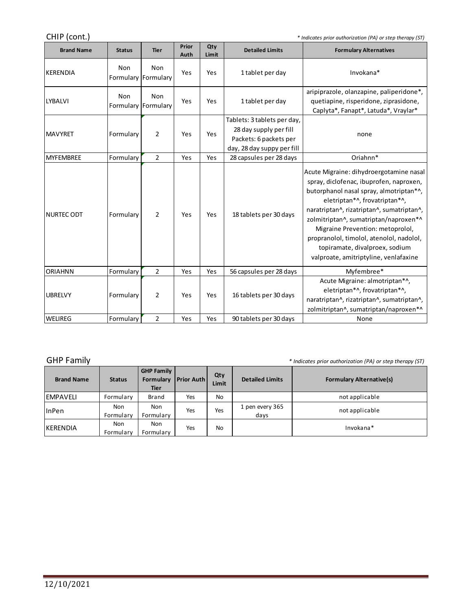CHIP (cont.) *\* Indicates prior authorization (PA) or step therapy (ST)*

| <b>Brand Name</b> | <b>Status</b>              | <b>Tier</b>    | Prior<br>Auth | Qty<br>Limit | <b>Detailed Limits</b>                                                                                        | <b>Formulary Alternatives</b>                                                                                                                                                                                                                                                                                                                                                                                   |
|-------------------|----------------------------|----------------|---------------|--------------|---------------------------------------------------------------------------------------------------------------|-----------------------------------------------------------------------------------------------------------------------------------------------------------------------------------------------------------------------------------------------------------------------------------------------------------------------------------------------------------------------------------------------------------------|
| KERENDIA          | Non<br>Formulary Formulary | Non            | Yes           | Yes          | 1 tablet per day                                                                                              | Invokana*                                                                                                                                                                                                                                                                                                                                                                                                       |
| <b>LYBALVI</b>    | Non<br>Formulary Formulary | Non            | Yes           | Yes          | 1 tablet per day                                                                                              | aripiprazole, olanzapine, paliperidone*,<br>quetiapine, risperidone, ziprasidone,<br>Caplyta*, Fanapt*, Latuda*, Vraylar*                                                                                                                                                                                                                                                                                       |
| <b>MAVYRET</b>    | Formulary                  | 2              | Yes           | Yes          | Tablets: 3 tablets per day,<br>28 day supply per fill<br>Packets: 6 packets per<br>day, 28 day suppy per fill | none                                                                                                                                                                                                                                                                                                                                                                                                            |
| <b>MYFEMBREE</b>  | Formulary                  | $\overline{2}$ | Yes           | Yes          | 28 capsules per 28 days                                                                                       | Oriahnn*                                                                                                                                                                                                                                                                                                                                                                                                        |
| <b>NURTEC ODT</b> | Formulary                  | $\overline{2}$ | Yes           | Yes          | 18 tablets per 30 days                                                                                        | Acute Migraine: dihydroergotamine nasal<br>spray, diclofenac, ibuprofen, naproxen,<br>butorphanol nasal spray, almotriptan*^,<br>eletriptan*^, frovatriptan*^,<br>naratriptan^, rizatriptan^, sumatriptan^,<br>zolmitriptan^, sumatriptan/naproxen*^<br>Migraine Prevention: metoprolol,<br>propranolol, timolol, atenolol, nadolol,<br>topiramate, divalproex, sodium<br>valproate, amitriptyline, venlafaxine |
| <b>ORIAHNN</b>    | Formulary                  | 2              | Yes           | Yes          | 56 capsules per 28 days                                                                                       | Myfembree*                                                                                                                                                                                                                                                                                                                                                                                                      |
| <b>UBRELVY</b>    | Formulary                  | 2              | Yes           | Yes          | 16 tablets per 30 days                                                                                        | Acute Migraine: almotriptan*^,<br>eletriptan*^, frovatriptan*^,<br>naratriptan^, rizatriptan^, sumatriptan^,<br>zolmitriptan^, sumatriptan/naproxen*^                                                                                                                                                                                                                                                           |
| <b>WELIREG</b>    | Formulary                  | $\overline{2}$ | Yes           | Yes          | 90 tablets per 30 days                                                                                        | None                                                                                                                                                                                                                                                                                                                                                                                                            |

GHP Family *\* Indicates prior authorization (PA) or step therapy (ST)*

m.

| <b>Brand Name</b> | <b>Status</b>    | <b>GHP Family</b><br>Formulary<br><b>Tier</b> | <b>Prior Auth</b> | Qty<br>Limit | <b>Detailed Limits</b>  | <b>Formulary Alternative(s)</b> |
|-------------------|------------------|-----------------------------------------------|-------------------|--------------|-------------------------|---------------------------------|
| <b>IEMPAVELI</b>  | Formulary        | Brand                                         | Yes               | No           |                         | not applicable                  |
| <b>linPen</b>     | Non<br>Formulary | Non<br>Formulary                              | Yes               | Yes          | 1 pen every 365<br>days | not applicable                  |
| <b>IKERENDIA</b>  | Non<br>Formulary | Non<br>Formulary                              | Yes               | No           |                         | Invokana*                       |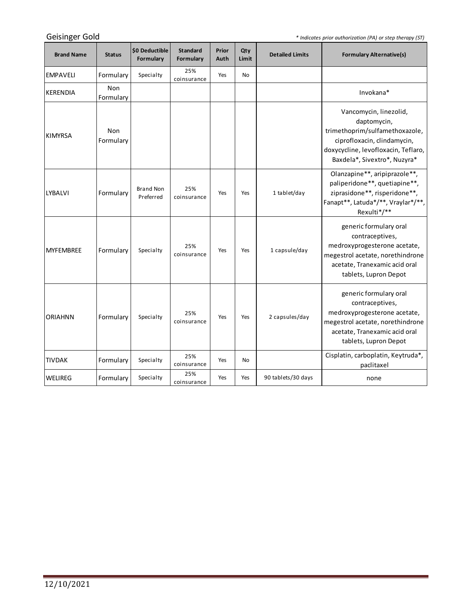*\* Indicates prior authorization (PA) or step therapy (ST)*

<u> 1989 - Johann Barnett, fransk politiker (</u>

| <b>Brand Name</b> | <b>Status</b>    | \$0 Deductible<br>Formulary   | <b>Standard</b><br>Formulary | Prior<br>Auth | Qty<br>Limit | <b>Detailed Limits</b> | <b>Formulary Alternative(s)</b>                                                                                                                                               |
|-------------------|------------------|-------------------------------|------------------------------|---------------|--------------|------------------------|-------------------------------------------------------------------------------------------------------------------------------------------------------------------------------|
| <b>EMPAVELI</b>   | Formulary        | Specialty                     | 25%<br>coinsurance           | Yes           | <b>No</b>    |                        |                                                                                                                                                                               |
| <b>KERENDIA</b>   | Non<br>Formulary |                               |                              |               |              |                        | Invokana*                                                                                                                                                                     |
| <b>KIMYRSA</b>    | Non<br>Formulary |                               |                              |               |              |                        | Vancomycin, linezolid,<br>daptomycin,<br>trimethoprim/sulfamethoxazole,<br>ciprofloxacin, clindamycin,<br>doxycycline, levofloxacin, Teflaro,<br>Baxdela*, Sivextro*, Nuzyra* |
| <b>LYBALVI</b>    | Formulary        | <b>Brand Non</b><br>Preferred | 25%<br>coinsurance           | Yes           | Yes          | 1 tablet/day           | Olanzapine**, aripiprazole**,<br>paliperidone**, quetiapine**,<br>ziprasidone**, risperidone**,<br>Fanapt**, Latuda*/**, Vraylar*/**,<br>Rexulti*/**                          |
| <b>MYFEMBREE</b>  | Formulary        | Specialty                     | 25%<br>coinsurance           | Yes           | Yes          | 1 capsule/day          | generic formulary oral<br>contraceptives,<br>medroxyprogesterone acetate,<br>megestrol acetate, norethindrone<br>acetate, Tranexamic acid oral<br>tablets, Lupron Depot       |
| <b>ORIAHNN</b>    | Formulary        | Specialty                     | 25%<br>coinsurance           | Yes           | Yes          | 2 capsules/day         | generic formulary oral<br>contraceptives,<br>medroxyprogesterone acetate,<br>megestrol acetate, norethindrone<br>acetate, Tranexamic acid oral<br>tablets, Lupron Depot       |
| <b>TIVDAK</b>     | Formulary        | Specialty                     | 25%<br>coinsurance           | Yes           | No           |                        | Cisplatin, carboplatin, Keytruda*,<br>paclitaxel                                                                                                                              |
| <b>WELIREG</b>    | Formulary        | Specialty                     | 25%<br>coinsurance           | Yes           | Yes          | 90 tablets/30 days     | none                                                                                                                                                                          |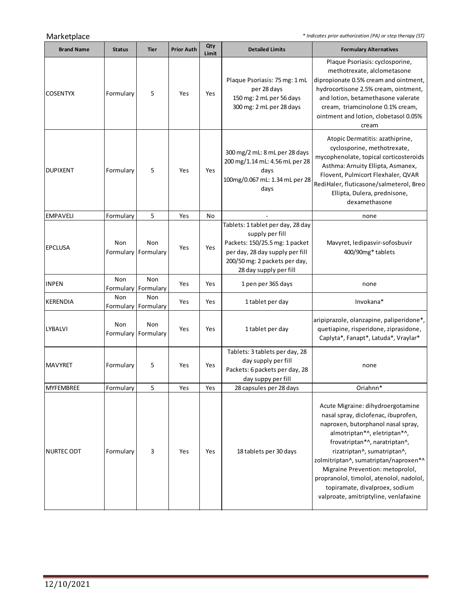Marketplace *\* Indicates prior authorization (PA) or step therapy (ST)*

÷.

| <b>Brand Name</b> | <b>Status</b>    | <b>Tier</b>                | <b>Prior Auth</b> | Qty<br>Limit | <b>Detailed Limits</b>                                                                                                                                                               | <b>Formulary Alternatives</b>                                                                                                                                                                                                                                                                                                                                                                                      |
|-------------------|------------------|----------------------------|-------------------|--------------|--------------------------------------------------------------------------------------------------------------------------------------------------------------------------------------|--------------------------------------------------------------------------------------------------------------------------------------------------------------------------------------------------------------------------------------------------------------------------------------------------------------------------------------------------------------------------------------------------------------------|
| <b>COSENTYX</b>   | Formulary        | 5                          | Yes               | Yes          | Plaque Psoriasis: 75 mg: 1 mL<br>per 28 days<br>150 mg: 2 mL per 56 days<br>300 mg: 2 mL per 28 days                                                                                 | Plaque Psoriasis: cyclosporine,<br>methotrexate, alclometasone<br>dipropionate 0.5% cream and ointment,<br>hydrocortisone 2.5% cream, ointment,<br>and lotion, betamethasone valerate<br>cream, triamcinolone 0.1% cream,<br>ointment and lotion, clobetasol 0.05%<br>cream                                                                                                                                        |
| <b>DUPIXENT</b>   | Formulary        | 5                          | Yes               | Yes          | 300 mg/2 mL: 8 mL per 28 days<br>200 mg/1.14 mL: 4.56 mL per 28<br>days<br>100mg/0.067 mL: 1.34 mL per 28<br>days                                                                    | Atopic Dermatitis: azathiprine,<br>cyclosporine, methotrexate,<br>mycophenolate, topical corticosteroids<br>Asthma: Arnuity Ellipta, Asmanex,<br>Flovent, Pulmicort Flexhaler, QVAR<br>RediHaler, fluticasone/salmeterol, Breo<br>Ellipta, Dulera, prednisone,<br>dexamethasone                                                                                                                                    |
| <b>EMPAVELI</b>   | Formulary        | 5                          | Yes               | No           |                                                                                                                                                                                      | none                                                                                                                                                                                                                                                                                                                                                                                                               |
| <b>EPCLUSA</b>    | Non<br>Formulary | Non<br>Formulary           | Yes               | Yes          | Tablets: 1 tablet per day, 28 day<br>supply per fill<br>Packets: 150/25.5 mg: 1 packet<br>per day, 28 day supply per fill<br>200/50 mg: 2 packets per day,<br>28 day supply per fill | Mavyret, ledipasvir-sofosbuvir<br>400/90mg* tablets                                                                                                                                                                                                                                                                                                                                                                |
| <b>INPEN</b>      | Non<br>Formulary | Non<br>Formulary           | Yes               | Yes          | 1 pen per 365 days                                                                                                                                                                   | none                                                                                                                                                                                                                                                                                                                                                                                                               |
| <b>KERENDIA</b>   | Non              | Non<br>Formulary Formulary | Yes               | Yes          | 1 tablet per day                                                                                                                                                                     | Invokana*                                                                                                                                                                                                                                                                                                                                                                                                          |
| LYBALVI           | Non<br>Formulary | Non<br>Formulary           | Yes               | Yes          | 1 tablet per day                                                                                                                                                                     | aripiprazole, olanzapine, paliperidone*,<br>quetiapine, risperidone, ziprasidone,<br>Caplyta*, Fanapt*, Latuda*, Vraylar*                                                                                                                                                                                                                                                                                          |
| <b>MAVYRET</b>    | Formulary        | 5                          | Yes               | Yes          | Tablets: 3 tablets per day, 28<br>day supply per fill<br>Packets: 6 packets per day, 28<br>day suppy per fill                                                                        | none                                                                                                                                                                                                                                                                                                                                                                                                               |
| <b>MYFEMBREE</b>  | Formulary        | 5                          | Yes               | Yes          | 28 capsules per 28 days                                                                                                                                                              | Oriahnn*                                                                                                                                                                                                                                                                                                                                                                                                           |
| NURTEC ODT        | Formulary        | 3                          | Yes               | Yes          | 18 tablets per 30 days                                                                                                                                                               | Acute Migraine: dihydroergotamine<br>nasal spray, diclofenac, ibuprofen,<br>naproxen, butorphanol nasal spray,<br>almotriptan*^, eletriptan*^,<br>frovatriptan*^, naratriptan^,<br>rizatriptan^, sumatriptan^,<br>zolmitriptan^, sumatriptan/naproxen*^<br>Migraine Prevention: metoprolol,<br>propranolol, timolol, atenolol, nadolol,<br>topiramate, divalproex, sodium<br>valproate, amitriptyline, venlafaxine |